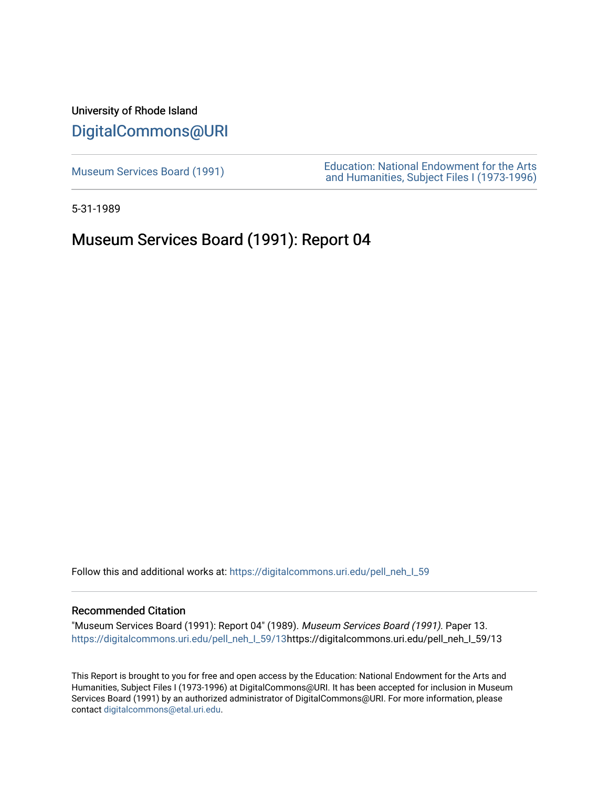# University of Rhode Island [DigitalCommons@URI](https://digitalcommons.uri.edu/)

Museum Services Board (1991)<br>
Museum Services Board (1991)<br>
And Uumenities Subject Files (1973,1996) [and Humanities, Subject Files I \(1973-1996\)](https://digitalcommons.uri.edu/pell_neh_I) 

5-31-1989

## Museum Services Board (1991): Report 04

Follow this and additional works at: [https://digitalcommons.uri.edu/pell\\_neh\\_I\\_59](https://digitalcommons.uri.edu/pell_neh_I_59?utm_source=digitalcommons.uri.edu%2Fpell_neh_I_59%2F13&utm_medium=PDF&utm_campaign=PDFCoverPages) 

### Recommended Citation

"Museum Services Board (1991): Report 04" (1989). Museum Services Board (1991). Paper 13. [https://digitalcommons.uri.edu/pell\\_neh\\_I\\_59/13h](https://digitalcommons.uri.edu/pell_neh_I_59/13?utm_source=digitalcommons.uri.edu%2Fpell_neh_I_59%2F13&utm_medium=PDF&utm_campaign=PDFCoverPages)ttps://digitalcommons.uri.edu/pell\_neh\_I\_59/13

This Report is brought to you for free and open access by the Education: National Endowment for the Arts and Humanities, Subject Files I (1973-1996) at DigitalCommons@URI. It has been accepted for inclusion in Museum Services Board (1991) by an authorized administrator of DigitalCommons@URI. For more information, please contact [digitalcommons@etal.uri.edu.](mailto:digitalcommons@etal.uri.edu)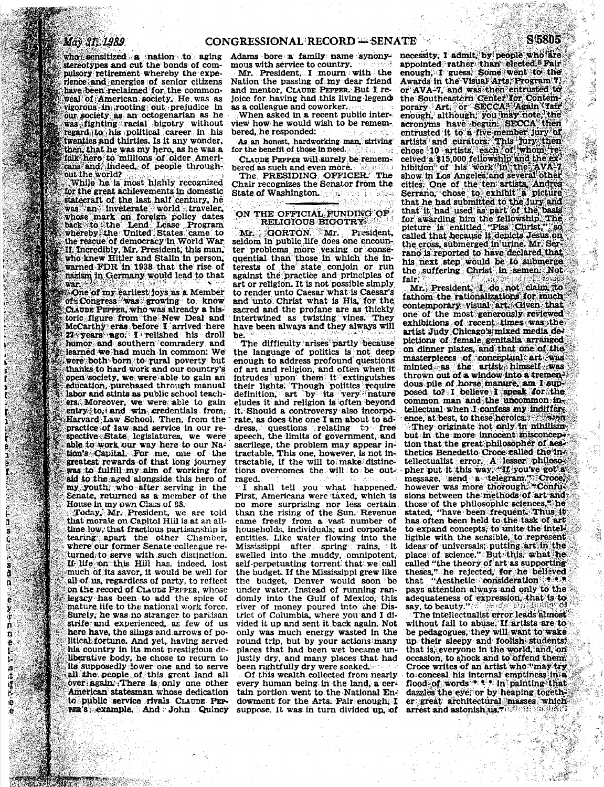#### CONGRESSIONAL RECORD = SENATE

whore ensitized a nation to aging stereotypes and cut the bonds of compulsory retirement whereby the experience and energies of senior citizens have been reclaimed for the commonweal of American society. He was as vigorous in rooting out prejudice in our society as an octogenarian as he was fighting racial bigotry without regard, to his political career in his twenties and thirties. Is it any wonder, then, that he was my hero, as he was a folk hero to millions of older Americans and, indeed, of people throughout the world?

While he is most highly recognized for the great achievements in domestic statecraft of the last half century, he was an inveterate world traveler. whose mark on foreign policy dates back to the Lend Lease Program whereby the United States came to the rescue of democracy in World War II. Incredibly, Mr. President, this man. who knew Hitler and Stalin in person, warned FDR in 1938 that the rise of nazism in Germany would lead to that war.

One of my earliest joys as a Member of Congress was growing to know CLAUDE PEPPER, who was already a historic figure from the New Deal and McCarthy eras before I arrived here 27 years ago. I relished his droll humor and southern comradery and learned we had much in common: We were both born to rural poverty but thanks to hard work and our country's open society, we were able to gain an education, purchased through manual labor and stints as public school teachers. Moreover, we were able to gain entry to, and win credentials from. Harvard Law School. Then, from the practice of law and service in our respective State legislatures, we were able to work our way here to our Nation's Capital. For me, one of the greatest rewards of that long journey was to fulfill my aim of working for aid to the aged alongside this hero of my youth, who after serving in the Senate, returned as a member of the House in my own Class of 88.

Today, Mr. President, we are told that morale on Capitol Hill is at an alltime low, that fractious partisanship is tearing apart the other Chamber, where our former Senate colleague returned to serve with such distinction. If life on this Hill has, indeed, lost much of its savor, it would be well for all of us, regardless of party, to reflect on the record of CLAUDE PEPPER, whose legacy has been to add the spice of mature life to the national work force. Surely, he was no stranger to partisan strife and experienced, as few of us here have, the slings and arrows of political fortune. And yet, having served his country in its most prestigious deliberative body, he chose to return to its supposedly lower one and to serve all the people of this great land all over again. There is only one other American statesman whose dedication to public service rivals CLAUDE PEP-PER's example. And John Quincy

Adams bore a family name synonymous with service to country.

Mr. President, I mourn with the Nation the passing of my dear friend and mentor, CLAUDE PEPPER But I rejoice for having had this living legends as a colleague and coworker.

When asked in a recent public interview how he would wish to be remembered, he responded:

As an honest, hardworking man striving for the benefit of those in need.

CLAUDE PEPPER will surely be remembered as such and even more.

The PRESIDING OFFICER. The Chair recognizes the Senator from the State of Washington.

#### ON THE OFFICIAL FUNDING OF RELIGIOUS BIGOTRY

Mr. GORTON. Mr. President,<br>seldom in public life does one encounter problems more vexing or consequential than those in which the interests of the state conjoin or run against the practice and principles of art or religion. It is not possible simply to render unto Caesar what is Caesar's and unto Christ what is His, for the sacred and the profane are as thickly intertwined as twisting vines. They have been always and they always will be.

The difficulty arises partly because the language of politics is not deep enough to address profound questions of art and religion, and often when it intrudes upon them it extinguishes their lights. Though politics require definition, art by its very nature<br>eludes it and religion is often beyond it. Should a controversy also incorporate, as does the one I am about to address, questions relating to free speech, the limits of government, and sacrilege, the problem may appear intractable. This one, however, is not intractable, if the will to make distinctions overcomes the will to be outraged.

I shall tell you what happened. First. Americans were taxed, which is no more surprising nor less certain than the rising of the Sun. Revenue came freely from a vast number of households, individuals, and corporate entities. Like water flowing into the Mississippi after spring rains, it swelled into the muddy, omnipotent,<br>self-perpetuating torrent that we call the budget. If the Mississippi grew like the budget, Denver would soon be under water. Instead of running randomly into the Gulf of Mexico, this river of money poured into the District of Columbia, where you and I divided it up and sent it back again. Not only was much energy wasted in the round trip, but by your actions many places that had been wet became unjustly dry, and many places that had been rightfully dry were soaked.

Of this wealth collected from nearly every human being in the land, a certain portion went to the National Endowment for the Arts. Fair enough, I suppose. It was in turn divided up, of

necessity, I admit, by people who are appointed rather than elected.<sup>5</sup> Fair enough, I guess. Some went to the Awards in the Visual Arts, Program 7. or AVA-7, and was then entrusted to the Southeastern Center for Contem-<br>porary Art, or SECCA Again Yaff enough, although, you may note the acronyms have begun. SECCA then<br>entrusted it to a five-member jury of artists and curators. This jury then<br>chose 10 artists, each of whom re-<br>ceived a \$15,000 fellowship and the exhibition of his work in the AVAshow in Los Angeles and several other cities. One of the ten artists, Andres Serrano, chose to exhibit a picture that he had submitted to the jury and that it had used as part of the basis for awarding him the fellowship. The picture is entitled "Piss Curist," so called that because it depicts Jesus on the cross, submerged in urine. Mr. Serrano is reported to have declared that his next step would be to submerge the suffering Christ in semen. Not fair.

Mr. President, I do not claim to fathom the rationalizations for much contemporary visual art. Given that one of the most generously reviewed exhibitions of recent times was the artist Judy Chicago's mixed media depictions of female genitalia arranged on dinner plates, and that one of the masterpieces of conceptual art was minted as the artist himself was thrown out of a window into a tremendous pile of horse manure, am I supposed to? I believe I speak for the common man and the uncommon intellectual when I confess my indiffer. ence, at best, to these heroics. Short They originate not only in nihilism. but in the more innocent misconception that the great philosopher of aesthetics Benedetto Croce called the intellectualist error. A lesser philosopher put it this way. "If you've got a message, send a telegram. Crocel however was more thorough. Confusions between the methods of art and those of the philosophic sciences, **Che** stated. "have been frequent. Thus it has often been held to the task of art to expand concepts, to unite the intelligible with the sensible, to represent ideas of universals; putting art in the place of science." But this, what he called "the theory of art as supporting theses," he rejected, for he believed<br>that "Aesthetic consideration pays attention always and only to the adequateness of expression, that is to say, to beauty." ल नरपोस'

The intellectualist error leads almost without fail to abuse. If artists are to be pedagogues, they will want to wake up their sleepy and foolish students; that is, everyone in the world, and, on occasion, to shock and to offend them. Croce writes of an artist who "may try to conceal his internal emptiness in a flood of words \* \* \* in painting that dazzles the eye, or by heaping together great architectural masses which<br>arrest and astonish us.

S.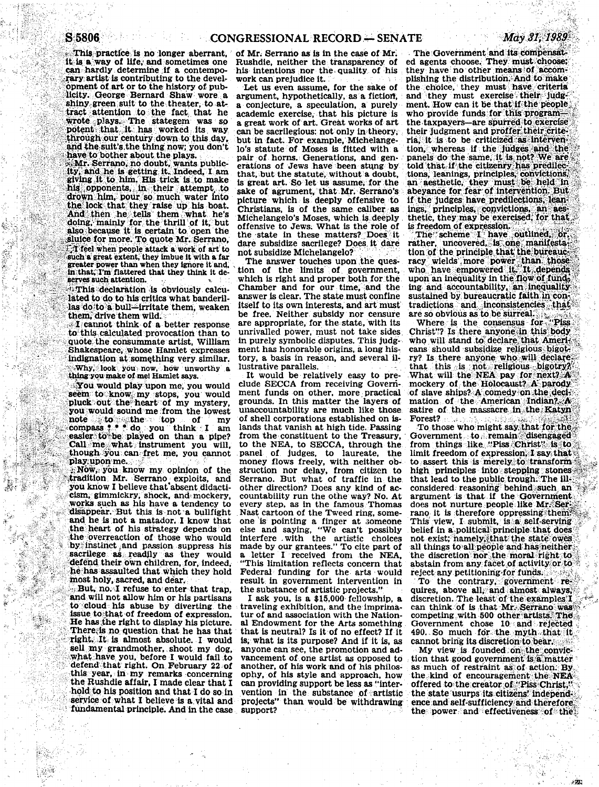This practice is no longer aberrant. it is a way of life, and sometimes one can hardly determine if a contemporary artist is contributing to the development of art or to the history of publicity. George Bernard Shaw wore a shiny green suit to the theater, to attract attention to the fact that he wrote plays. The stategem was so<br>potent that it has worked its way through our century down to this day, and the suit's the thing now; you don't have to bother about the plays.

Mr. Serrano, no doubt, wants public-<br>ity, and he is getting it. Indeed, I am giving it to him. His trick is to make his opponents, in their attempt to drown him, pour so much water into the lock that they raise up his boat. And then he tells them what he's doing, mainly for the thrill of it, but also because it is certain to open the sluice for more. To quote Mr. Serrano, Tifeel when people attack a work of art to such a great extent, they imbue it with a far greater power than when they ignore it and, in that, I'm flattered that they think it deserves such attention.

This declaration is obviously calculated to do to his critics what banderillas do to a bull-irritate them, weaken them. drive them wild.

I cannot think of a better response to this calculated provocation than to quote the consummate artist. William Shakespeare, whose Hamlet expresses indignation at something very similar. Why, look you now, how unworthy a thing you make of me! Hamlet says.

You would play upon me, you would seem to know my stops, you would<br>pluck out the heart of my mystery, you would sound me from the lowest note to the top of my<br>compass : : do you think I am easier to be played on than a pipe? Call me what instrument you will, though you can fret me, you cannot play upon me.

Now, you know my opinion of the tradition Mr. Serrano exploits, and you know I believe that absent didacticism, gimmickry, shock, and mockery. works such as his have a tendency to disappear. But this is not a bullfight and he is not a matador. I know that the heart of his strategy depends on the overreaction of those who would by instinct and passion suppress his sacrilege as readily as they would defend their own children, for, indeed, he has assaulted that which they hold most holy, sacred, and dear.

But, no. I refuse to enter that trap. and will not allow him or his partisans to cloud his abuse by diverting the issue to that of freedom of expression. He has the right to display his picture. There is no question that he has that right. It is almost absolute. I would sell my grandmother, shoot my dog, what have you, before I would fail to defend that right. On February 22 of this year, in my remarks concerning the Rushdie affair, I made clear that I hold to his position and that I do so in service of what I believe is a vital and fundamental principle. And in the case

of Mr. Serrano as is in the case of Mr. Rushdie, neither the transparency of his intentions nor the quality of his work can prejudice it.

Let us even assume, for the sake of argument. hypothetically, as a fiction. a conjecture, a speculation, a purely academic exercise, that his picture is a great work of art. Great works of art can be sacrilegious: not only in theory, but in fact. For example. Michelangelo's statute of Moses is fitted with a pair of horns. Generations, and generations of Jews have been stung by that, but the statute, without a doubt, is great art. So let us assume, for the sake of agrument, that Mr. Serrano's picture which is deeply offensive to Christians, is of the same caliber as Michelangelo's Moses, which is deeply offensive to Jews. What is the role of the state in these matters? Does it dare subsidize sacrilege? Does it dare not subsidize Michelangelo?

The answer touches upon the question of the limits of government, which is right and proper both for the Chamber and for our time, and the answer is clear. The state must confine itself to its own interests, and art must be free. Neither subsidy nor censure are appropriate, for the state, with its unrivalled power, must not take sides in purely symbolic disputes. This judgment has honorable origins, a long history. a basis in reason, and several illustrative parallels.

It would be relatively easy to preclude SECCA from receiving Government funds on other, more practical grounds. In this matter the layers of unaccountability are much like those. of shell corporations established on islands that vanish at high tide. Passing from the constituent to the Treasury. to the NEA, to SECCA, through the panel of judges, to laureate, the money flows freely, with neither obstruction nor delay, from citizen to Serrano. But what of traffic in the other direction? Does any kind of accountability run the othe way? No. At every step, as in the famous Thomas Nast cartoon of the Tweed ring, someone is pointing a finger at someone else and saying, "We can't possibly<br>interfere with the artistic choices<br>made by our grantees." To cite part of a letter I received from the NEA. "This limitation reflects concern that Federal funding for the arts would result in government intervention in the substance of artistic projects."

I ask you, is a \$15,000 fellowship, a traveling exhibition, and the imprimatur of and association with the National Endowment for the Arts something that is neutral? Is it of no effect? If it is, what is its purpose? And if it is, as anyone can see, the promotion and advancement of one artist as opposed to another, of his work and of his philosophy, of his style and approach, how can providing support be less as "intervention in the substance of artistic<br>projects" than would be withdrawing support?

The Government and its compensated agents choose. They must choose; they have no other means of accomplishing the distribution. And to make the choice, they must have criteria and they must exercise their judgment. How can it be that if the people who provide funds for this program the taxpayers-are spurred to exercise their judgment and proffer their criteria. It is to be criticized as intervention, whereas if the judges and the panels do the same, it is not? We are told that if the citizenry has predilections, leanings, principles, convictions, an aesthetic, they must be held in abeyance for fear of intervention. But if the judges have predilections, leanings, principles, convictions, an aesthetic, they may be exercised, for that is freedom of expression.

The scheme I have outlined, or, rather, uncovered, is one manifestation of the principle that the bureaucracy wields more power than those who have empowered it. It depends upon an inequality in the flow of fund, ing and accountability, an inequality sustained by bureaucratic faith in contradictions and inconsistencies that tradictions and move surreal.

Where is the consensus for Christ"? Is there anyone in this body who will stand to declare that Americans should subsidize religious bigotry? Is there anyone who will declare that this is not religious bigotry? What will the NEA pay for next? A mockery of the Holocaust? A parody of slave ships? A comedy on the decimation of the American Indian? A satire of the massacre in the Katyn Forest?

To those who might say that for the Government to remain disengaged from things like "Piss Christ" is to limit freedom of expression, I say that to assert this is merely to transform high principles into stepping stones that lead to the public trough. The illconsidered reasoning behind such an argument is that if the Government does not nurture people like Mr. Serrano it is therefore oppressing them. This view, I submit, is a self-serving belief in a political principle that does not exist; namely, that the state owes all things to all people and has neither. the discretion nor the moral right to abstain from any facet of activity or to reject any petitioning for funds.

To the contrary, government requires, above all, and almost always, discretion. The least of the examples I can think of is that Mr. Serrano was competing with 500 other artists. The Government chose 10 and rejected 490. So much for the myth that it cannot bring its discretion to bear.

My view is founded on the conviction that good government is a matter as much of restraint as of action. By. the kind of encouragement the NEA offered to the creator of "Piss Christ." the state usurps its citizens' independence and self-sufficiency and therefore. the power and effectiveness of the

### May 31, 1989